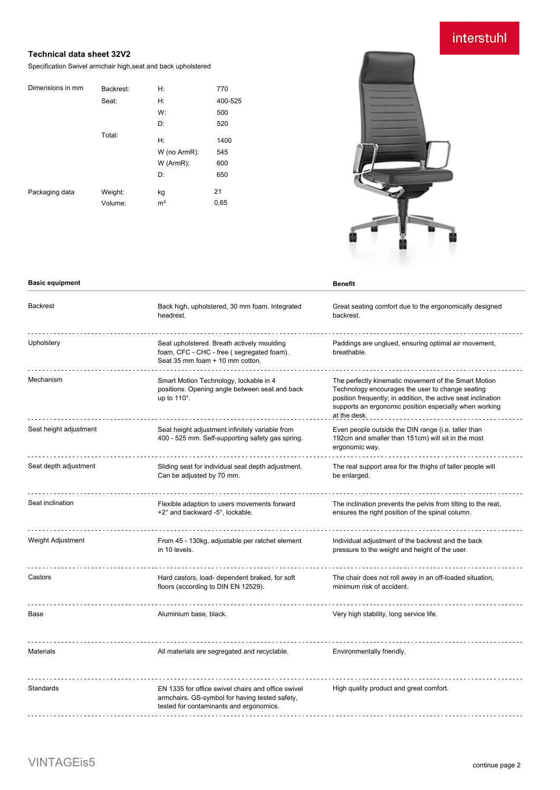# interstuhl

### **Technical data sheet 32V2**

Specification Swivel armchair high,seat and back upholstered

| Backrest: | H:             | 770     |
|-----------|----------------|---------|
| Seat:     | H:             | 400-525 |
|           | W:             | 500     |
|           | D:             | 520     |
| Total:    | H:             | 1400    |
|           | W (no ArmR):   | 545     |
|           | W (ArmR):      | 600     |
|           | D:             | 650     |
| Weight:   | kg             | 21      |
| Volume:   | m <sup>3</sup> | 0,65    |
|           |                |         |



| <b>Basic equipment</b> |                                                                                                                                                 | <b>Benefit</b>                                                                                                                                                                                                                                      |
|------------------------|-------------------------------------------------------------------------------------------------------------------------------------------------|-----------------------------------------------------------------------------------------------------------------------------------------------------------------------------------------------------------------------------------------------------|
| <b>Backrest</b>        | Back high, upholstered, 30 mm foam. Integrated<br>headrest.                                                                                     | Great seating comfort due to the ergonomically designed<br>backrest.                                                                                                                                                                                |
| Upholstery             | Seat upholstered. Breath actively moulding<br>foam, CFC - CHC - free (segregated foam).<br>Seat 35 mm foam + 10 mm cotton.                      | Paddings are unglued, ensuring optimal air movement,<br>breathable.                                                                                                                                                                                 |
| Mechanism              | Smart Motion Technology, lockable in 4<br>positions. Opening angle between seat and back<br>up to 110°.                                         | The perfectly kinematic movement of the Smart Motion<br>Technology encourages the user to change seating<br>position frequently; in addition, the active seat inclination<br>supports an ergonomic position especially when working<br>at the desk. |
| Seat height adjustment | Seat height adjustment infinitely variable from<br>400 - 525 mm. Self-supporting safety gas spring.                                             | Even people outside the DIN range (i.e. taller than<br>192cm and smaller than 151cm) will sit in the most<br>ergonomic way.                                                                                                                         |
| Seat depth adjustment  | Sliding seat for individual seat depth adjustment.<br>Can be adjusted by 70 mm.                                                                 | The real support area for the thighs of taller people will<br>be enlarged.                                                                                                                                                                          |
| Seat inclination       | Flexible adaption to users movements forward<br>+2° and backward -5°, lockable.                                                                 | The inclination prevents the pelvis from tilting to the reat,<br>ensures the right position of the spinal column.                                                                                                                                   |
| Weight Adjustment      | From 45 - 130kg, adjustable per ratchet element<br>in 10 levels.                                                                                | Individual adjustment of the backrest and the back<br>pressure to the weight and height of the user.                                                                                                                                                |
| Castors                | Hard castors, load- dependent braked, for soft<br>floors (according to DIN EN 12529).                                                           | The chair does not roll away in an off-loaded situation,<br>minimum risk of accident.                                                                                                                                                               |
| Base                   | Aluminium base, black.                                                                                                                          | Very high stability, long service life.                                                                                                                                                                                                             |
| <b>Materials</b>       | All materials are segregated and recyclable.                                                                                                    | Environmentally friendly.                                                                                                                                                                                                                           |
| Standards              | EN 1335 for office swivel chairs and office swivel<br>armchairs. GS-symbol for having tested safety,<br>tested for contaminants and ergonomics. | High quality product and great comfort.                                                                                                                                                                                                             |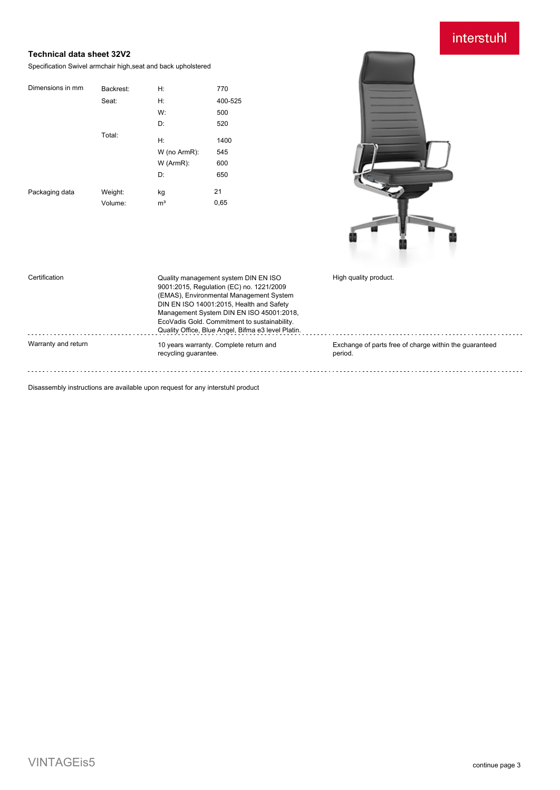# interstuhl

### **Technical data sheet 32V2**

Specification Swivel armchair high,seat and back upholstered

| Dimensions in mm | Backrest: | H:             | 770     |
|------------------|-----------|----------------|---------|
|                  | Seat:     | H:             | 400-525 |
|                  |           | W:             | 500     |
|                  |           | D:             | 520     |
|                  | Total:    | H:             | 1400    |
|                  |           | W (no ArmR):   | 545     |
|                  |           | W (ArmR):      | 600     |
|                  |           | D:             | 650     |
| Packaging data   | Weight:   | kg             | 21      |
|                  | Volume:   | m <sup>3</sup> | 0,65    |



| Certification       | Quality management system DIN EN ISO<br>9001:2015, Regulation (EC) no. 1221/2009<br>(EMAS), Environmental Management System<br>DIN EN ISO 14001:2015, Health and Safety<br>Management System DIN EN ISO 45001:2018,<br>EcoVadis Gold. Commitment to sustainability.<br>Quality Office, Blue Angel, Bifma e3 level Platin. | High quality product.                                             |
|---------------------|---------------------------------------------------------------------------------------------------------------------------------------------------------------------------------------------------------------------------------------------------------------------------------------------------------------------------|-------------------------------------------------------------------|
| Warranty and return | 10 years warranty. Complete return and<br>recycling quarantee.                                                                                                                                                                                                                                                            | Exchange of parts free of charge within the quaranteed<br>period. |

Disassembly instructions are available upon request for any interstuhl product